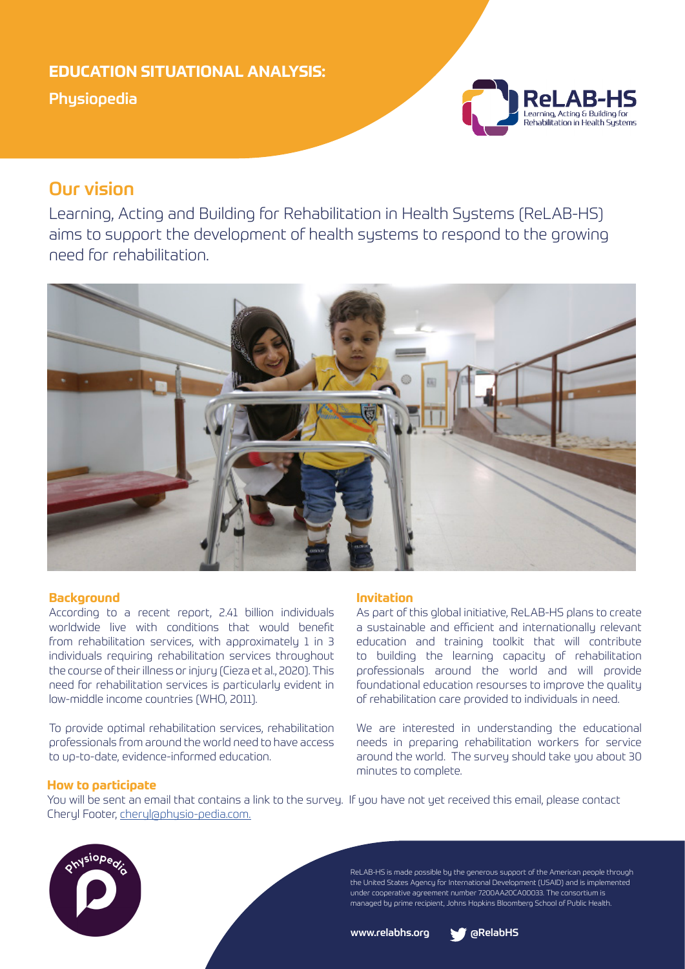## **EDUCATION SITUATIONAL ANALYSIS:**

Physiopedia



# Our vision

Learning, Acting and Building for Rehabilitation in Health Systems (ReLAB-HS) aims to support the development of health systems to respond to the growing need for rehabilitation.



## **Background**

According to a recent report, 2.41 billion individuals worldwide live with conditions that would benefit from rehabilitation services, with approximately 1 in 3 individuals requiring rehabilitation services throughout the course of their illness or injury (Cieza et al., 2020). This need for rehabilitation services is particularly evident in low-middle income countries (WHO, 2011).

To provide optimal rehabilitation services, rehabilitation professionals from around the world need to have access to up-to-date, evidence-informed education.

## **Invitation**

As part of this global initiative, ReLAB-HS plans to create a sustainable and efficient and internationally relevant education and training toolkit that will contribute to building the learning capacity of rehabilitation professionals around the world and will provide foundational education resourses to improve the quality of rehabilitation care provided to individuals in need.

We are interested in understanding the educational needs in preparing rehabilitation workers for service around the world. The survey should take you about 30 minutes to complete.

## **How to participate**

You will be sent an email that contains a link to the survey. If you have not yet received this email, please contact Cheryl Footer, cheryl@physio-pedia.com.



ReLAB-HS is made possible by the generous support of the American people through the United States Agency for International Development (USAID) and is implemented under cooperative agreement number 7200AA20CA00033. The consortium is managed by prime recipient, Johns Hopkins Bloomberg School of Public Health.